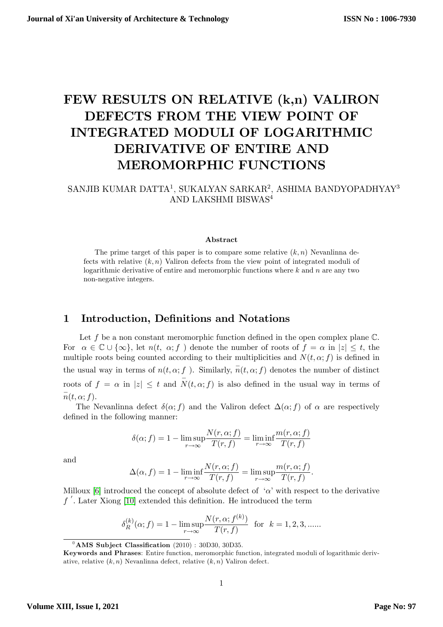# FEW RESULTS ON RELATIVE (k,n) VALIRON DEFECTS FROM THE VIEW POINT OF INTEGRATED MODULI OF LOGARITHMIC DERIVATIVE OF ENTIRE AND MEROMORPHIC FUNCTIONS

## SANJIB KUMAR DATTA<sup>1</sup>, SUKALYAN SARKAR<sup>2</sup>, ASHIMA BANDYOPADHYAY<sup>3</sup> AND LAKSHMI BISWAS<sup>4</sup>

#### Abstract

The prime target of this paper is to compare some relative  $(k, n)$  Nevanlinna defects with relative  $(k, n)$  Valiron defects from the view point of integrated moduli of logarithmic derivative of entire and meromorphic functions where  $k$  and  $n$  are any two non-negative integers.

## 1 Introduction, Definitions and Notations

Let f be a non constant meromorphic function defined in the open complex plane  $\mathbb{C}$ . For  $\alpha \in \mathbb{C} \cup \{\infty\}$ , let  $n(t, \alpha; f)$  denote the number of roots of  $f = \alpha$  in  $|z| \leq t$ , the multiple roots being counted according to their multiplicities and  $N(t, \alpha; f)$  is defined in the usual way in terms of  $n(t, \alpha; f)$ . Similarly,  $\overline{n}(t, \alpha; f)$  denotes the number of distinct roots of  $f = \alpha$  in  $|z| \leq t$  and  $\overline{N}(t, \alpha; f)$  is also defined in the usual way in terms of  $\overline{n}(t, \alpha; f).$ 

The Nevanlinna defect  $\delta(\alpha; f)$  and the Valiron defect  $\Delta(\alpha; f)$  of  $\alpha$  are respectively defined in the following manner:

$$
\delta(\alpha; f) = 1 - \limsup_{r \to \infty} \frac{N(r, \alpha; f)}{T(r, f)} = \liminf_{r \to \infty} \frac{m(r, \alpha; f)}{T(r, f)}
$$

and

$$
\Delta(\alpha, f) = 1 - \liminf_{r \to \infty} \frac{N(r, \alpha; f)}{T(r, f)} = \limsup_{r \to \infty} \frac{m(r, \alpha; f)}{T(r, f)}.
$$

Milloux [[6](#page-13-0)] introduced the concept of absolute defect of  $\alpha$  with respect to the derivative  $f'$ . Later Xiong [[10](#page-13-1)] extended this definition. He introduced the term

$$
\delta_R^{(k)}(\alpha; f) = 1 - \limsup_{r \to \infty} \frac{N(r, \alpha; f^{(k)})}{T(r, f)} \text{ for } k = 1, 2, 3, \dots
$$

 $^{0}$ AMS Subject Classification (2010) : 30D30, 30D35.

Keywords and Phrases: Entire function, meromorphic function, integrated moduli of logarithmic derivative, relative  $(k, n)$  Nevanlinna defect, relative  $(k, n)$  Valiron defect.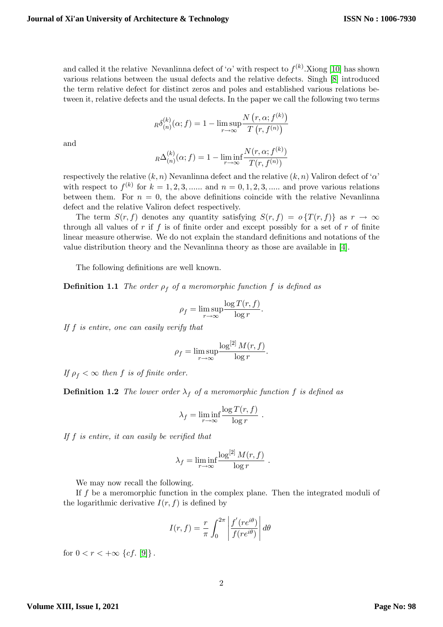and called it the relative Nevanlinna defect of ' $\alpha$ ' with respect to  $f^{(k)}$ . Xiong [[10](#page-13-1)] has shown various relations between the usual defects and the relative defects. Singh [[8](#page-13-2)] introduced the term relative defect for distinct zeros and poles and established various relations between it, relative defects and the usual defects. In the paper we call the following two terms

$$
R\delta_{(n)}^{(k)}(\alpha;f) = 1 - \limsup_{r \to \infty} \frac{N(r, \alpha; f^{(k)})}{T(r, f^{(n)})}
$$

and

$$
R\Delta_{(n)}^{(k)}(\alpha;f) = 1 - \liminf_{r \to \infty} \frac{N(r, \alpha; f^{(k)})}{T(r, f^{(n)})}
$$

respectively the relative  $(k, n)$  Nevanlinna defect and the relative  $(k, n)$  Valiron defect of  $\alpha$ with respect to  $f^{(k)}$  for  $k = 1, 2, 3, \dots$  and  $n = 0, 1, 2, 3, \dots$  and prove various relations between them. For  $n = 0$ , the above definitions coincide with the relative Nevanlinna defect and the relative Valiron defect respectively.

The term  $S(r, f)$  denotes any quantity satisfying  $S(r, f) = o\{T(r, f)\}\$ as  $r \to \infty$ through all values of r if f is of finite order and except possibly for a set of r of finite linear measure otherwise. We do not explain the standard definitions and notations of the value distribution theory and the Nevanlinna theory as those are available in [[4](#page-12-0)].

The following definitions are well known.

**Definition 1.1** The order  $\rho_f$  of a meromorphic function f is defined as

$$
\rho_f = \limsup_{r \to \infty} \frac{\log T(r, f)}{\log r}.
$$

If f is entire, one can easily verify that

$$
\rho_f = \limsup_{r \to \infty} \frac{\log^{[2]} M(r, f)}{\log r}.
$$

If  $\rho_f < \infty$  then f is of finite order.

**Definition 1.2** The lower order  $\lambda_f$  of a meromorphic function f is defined as

$$
\lambda_f = \liminf_{r \to \infty} \frac{\log T(r, f)}{\log r} .
$$

If  $f$  is entire, it can easily be verified that

$$
\lambda_f = \liminf_{r \to \infty} \frac{\log^{[2]} M(r, f)}{\log r} .
$$

We may now recall the following.

If f be a meromorphic function in the complex plane. Then the integrated moduli of the logarithmic derivative  $I(r, f)$  is defined by

$$
I(r, f) = \frac{r}{\pi} \int_0^{2\pi} \left| \frac{f'(re^{i\theta})}{f(re^{i\theta})} \right| d\theta
$$

for  $0 < r < +\infty$  {cf. [\[9\]](#page-13-3)}.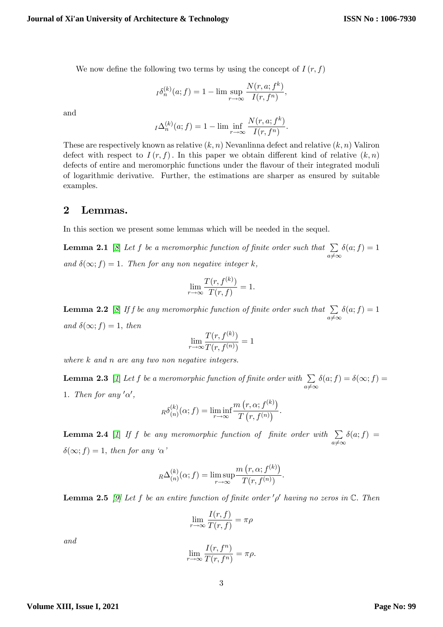We now define the following two terms by using the concept of  $I(r, f)$ 

$$
I^{\delta^{(k)}_n}(a; f) = 1 - \limsup_{r \to \infty} \frac{N(r, a; f^k)}{I(r, f^n)},
$$

and

$$
I\Delta_n^{(k)}(a; f) = 1 - \lim \inf_{r \to \infty} \frac{N(r, a; f^k)}{I(r, f^n)}.
$$

These are respectively known as relative  $(k, n)$  Nevanlinna defect and relative  $(k, n)$  Valiron defect with respect to  $I(r, f)$ . In this paper we obtain different kind of relative  $(k, n)$ defects of entire and meromorphic functions under the áavour of their integrated moduli of logarithmic derivative. Further, the estimations are sharper as ensured by suitable examples.

## 2 Lemmas.

<span id="page-2-0"></span>In this section we present some lemmas which will be needed in the sequel.

**Lemma 2.1** [[8](#page-13-2)] Let f be a meromorphic function of finite order such that  $\sum$  $a \neq \infty$  $\delta(a; f) = 1$ and  $\delta(\infty; f) = 1$ . Then for any non negative integer k,

$$
\lim_{r \to \infty} \frac{T(r, f^{(k)})}{T(r, f)} = 1.
$$

<span id="page-2-1"></span>**Lemma 2.2** [[8](#page-13-2)] If f be any meromorphic function of finite order such that  $\sum$  $a \neq \infty$  $\delta(a; f) = 1$ and  $\delta(\infty; f) = 1$ , then

$$
\lim_{r \to \infty} \frac{T(r, f^{(k)})}{T(r, f^{(n)})} = 1
$$

where k and n are any two non negative integers.

<span id="page-2-3"></span>**Lemma 2.3** [[1](#page-12-1)] Let f be a meromorphic function of finite order with  $\sum$  $a \neq \infty$  $\delta(a; f) = \delta(\infty; f) =$ 1. Then for any  $'\alpha'$ ,

$$
R\delta_{(n)}^{(k)}(\alpha;f) = \liminf_{r \to \infty} \frac{m(r,\alpha;f^{(k)})}{T(r,f^{(n)})}.
$$

**Lemma 2.4** [[1](#page-12-1)] If f be any meromorphic function of finite order with  $\sum$  $a \neq \infty$  $\delta(a; f) =$  $\delta(\infty; f) = 1$ , then for any ' $\alpha$ '

$$
R\Delta_{(n)}^{(k)}(\alpha; f) = \limsup_{r \to \infty} \frac{m(r, \alpha; f^{(k)})}{T(r, f^{(n)})}.
$$

<span id="page-2-2"></span>**Lemma 2.5** [\[9\]](#page-13-3) Let f be an entire function of finite order  $'\rho'$  having no zeros in  $\mathbb{C}$ . Then

$$
\lim_{r \to \infty} \frac{I(r, f)}{T(r, f)} = \pi \rho
$$

<span id="page-2-4"></span>and

$$
\lim_{r \to \infty} \frac{I(r, f^n)}{T(r, f^n)} = \pi \rho.
$$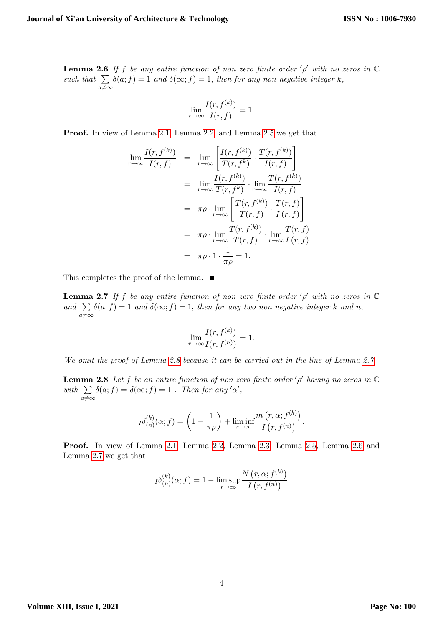**Lemma 2.6** If f be any entire function of non zero finite order  $'\rho'$  with no zeros in  $\mathbb C$ such that  $\sum_{i} \delta(a; f) = 1$  and  $\delta(\infty; f) = 1$ , then for any non negative integer k,  $a \neq \infty$ 

$$
\lim_{r \to \infty} \frac{I(r, f^{(k)})}{I(r, f)} = 1.
$$

Proof. In view of Lemma [2.1,](#page-2-0) Lemma [2.2,](#page-2-1) and Lemma [2.5](#page-2-2) we get that

$$
\lim_{r \to \infty} \frac{I(r, f^{(k)})}{I(r, f)} = \lim_{r \to \infty} \left[ \frac{I(r, f^{(k)})}{T(r, f^k)} \cdot \frac{T(r, f^{(k)})}{I(r, f)} \right]
$$
\n
$$
= \lim_{r \to \infty} \frac{I(r, f^{(k)})}{T(r, f^k)} \cdot \lim_{r \to \infty} \frac{T(r, f^{(k)})}{I(r, f)}
$$
\n
$$
= \pi \rho \cdot \lim_{r \to \infty} \left[ \frac{T(r, f^{(k)})}{T(r, f)} \cdot \frac{T(r, f)}{I(r, f)} \right]
$$
\n
$$
= \pi \rho \cdot \lim_{r \to \infty} \frac{T(r, f^{(k)})}{T(r, f)} \cdot \lim_{r \to \infty} \frac{T(r, f)}{I(r, f)}
$$
\n
$$
= \pi \rho \cdot 1 \cdot \frac{1}{\pi \rho} = 1.
$$

<span id="page-3-1"></span>This completes the proof of the lemma.  $\blacksquare$ 

**Lemma 2.7** If f be any entire function of non zero finite order  $'\rho'$  with no zeros in  $\mathbb C$ and  $\sum_{i} \delta(a; f) = 1$  and  $\delta(\infty; f) = 1$ , then for any two non negative integer k and n,  $a \neq \infty$ 

$$
\lim_{r \to \infty} \frac{I(r, f^{(k)})}{I(r, f^{(n)})} = 1.
$$

We omit the proof of Lemma [2.8](#page-3-0) because it can be carried out in the line of Lemma [2.7.](#page-3-1)

<span id="page-3-0"></span>**Lemma 2.8** Let f be an entire function of non zero finite order  $'\rho'$  having no zeros in  $\mathbb C$ with  $\sum$  $a \neq \infty$  $\delta(a; f) = \delta(\infty; f) = 1$ . Then for any ' $\alpha'$ ,

$$
I^{\delta(k)}(a; f) = \left(1 - \frac{1}{\pi \rho}\right) + \liminf_{r \to \infty} \frac{m(r, a; f^{(k)})}{I(r, f^{(n)})}.
$$

Proof. In view of Lemma [2.1,](#page-2-0) Lemma [2.2,](#page-2-1) Lemma [2.3,](#page-2-3) Lemma [2.5,](#page-2-2) Lemma [2.6](#page-2-4) and Lemma [2.7](#page-3-1) we get that

$$
I^{\delta(k)}(n;\mathbf{f}) = 1 - \limsup_{r \to \infty} \frac{N(r, \alpha; f^{(k)})}{I(r, f^{(n)})}
$$

**Volume XIII, Issue I, 2021**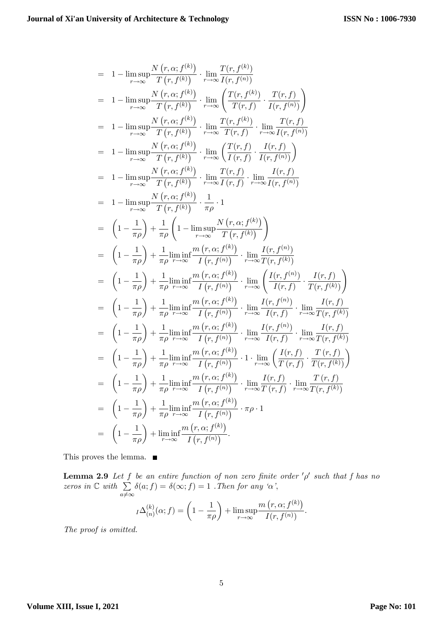$$
= 1 - \limsup_{r \to \infty} \frac{N(r, \alpha; f^{(k)})}{T(r, f^{(k)})} \cdot \lim_{r \to \infty} \frac{T(r, f^{(k)})}{T(r, f^{(k)})}
$$
\n
$$
= 1 - \limsup_{r \to \infty} \frac{N(r, \alpha; f^{(k)})}{T(r, f^{(k)})} \cdot \lim_{r \to \infty} \left( \frac{T(r, f^{(k)})}{T(r, f)} \cdot \frac{T(r, f)}{T(r, f^{(k)})} \right)
$$
\n
$$
= 1 - \limsup_{r \to \infty} \frac{N(r, \alpha; f^{(k)})}{T(r, f^{(k)})} \cdot \lim_{r \to \infty} \frac{T(r, f^{(k)})}{T(r, f)} \cdot \lim_{r \to \infty} \frac{T(r, f)}{T(r, f^{(k)})}
$$
\n
$$
= 1 - \limsup_{r \to \infty} \frac{N(r, \alpha; f^{(k)})}{T(r, f^{(k)})} \cdot \lim_{r \to \infty} \left( \frac{T(r, f)}{T(r, f)} \cdot \frac{I(r, f)}{I(r, f^{(k)})} \right)
$$
\n
$$
= 1 - \limsup_{r \to \infty} \frac{N(r, \alpha; f^{(k)})}{T(r, f^{(k)})} \cdot \lim_{r \to \infty} \frac{T(r, f)}{T(r, f)} \cdot \lim_{r \to \infty} \frac{I(r, f)}{I(r, f^{(k)})}
$$
\n
$$
= 1 - \limsup_{r \to \infty} \frac{N(r, \alpha; f^{(k)})}{T(r, f^{(k)})} \cdot \frac{1}{\pi \rho} \cdot 1
$$
\n
$$
= \left( 1 - \frac{1}{\pi \rho} \right) + \frac{1}{\pi \rho} \left( 1 - \limsup_{r \to \infty} \frac{N(r, \alpha; f^{(k)})}{T(r, f^{(k)})} \right)
$$
\n
$$
= \left( 1 - \frac{1}{\pi \rho} \right) + \frac{1}{\pi \rho} \lim_{r \to \infty} \frac{f(r, \alpha; f^{(k)})}{I(r, f^{(k)})} \cdot \lim_{r \to \infty} \frac{I(r, f^{(k)})}{I(r, f^{(k)})}
$$
\n
$$
= \left( 1 - \frac{1}{\pi \
$$

This proves the lemma.  $\blacksquare$ 

**Lemma 2.9** Let f be an entire function of non zero finite order  $'\rho'$  such that f has no zeros in  $\mathbb C$  with  $\sum$  $a \neq \infty$  $\delta(a; f) = \delta(\infty; f) = 1$ . Then for any ' $\alpha$ ',

$$
I\Delta_{(n)}^{(k)}(\alpha;f) = \left(1 - \frac{1}{\pi \rho}\right) + \limsup_{r \to \infty} \frac{m(r, \alpha; f^{(k)})}{I(r, f^{(n)})}.
$$

The proof is omitted.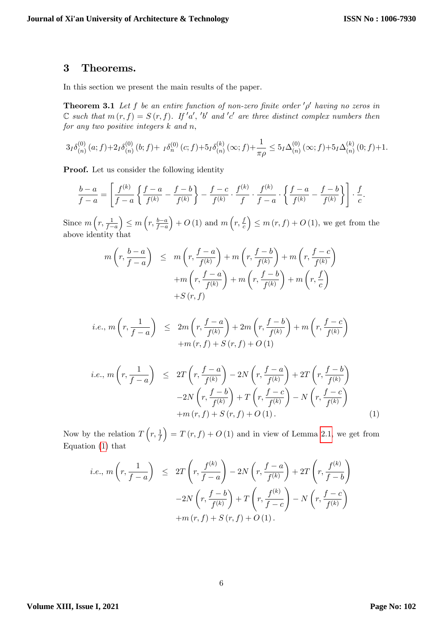### 3 Theorems.

<span id="page-5-1"></span>In this section we present the main results of the paper.

**Theorem 3.1** Let f be an entire function of non-zero finite order  $\phi'$  having no zeros in  $\mathbb C$  such that  $m(r, f) = S(r, f)$ . If 'a', 'b' and 'c' are three distinct complex numbers then for any two positive integers  $k$  and  $n$ ,

$$
3_I \delta_{(n)}^{(0)}(a;f) + 2_I \delta_{(n)}^{(0)}(b;f) + I \delta_{(n)}^{(0)}(c;f) + 5_I \delta_{(n)}^{(k)}(\infty;f) + \frac{1}{\pi \rho} \leq 5_I \Delta_{(n)}^{(0)}(\infty;f) + 5_I \Delta_{(n)}^{(k)}(0;f) + 1.
$$

Proof. Let us consider the following identity

$$
\frac{b-a}{f-a} = \left[ \frac{f^{(k)}}{f-a} \left\{ \frac{f-a}{f^{(k)}} - \frac{f-b}{f^{(k)}} \right\} - \frac{f-c}{f^{(k)}} \cdot \frac{f^{(k)}}{f} \cdot \frac{f^{(k)}}{f-a} \cdot \left\{ \frac{f-a}{f^{(k)}} - \frac{f-b}{f^{(k)}} \right\} \right] \cdot \frac{f}{c}.
$$

Since  $m\left(r, \frac{1}{f-a}\right)$  $\Big) \leq m \left( r , \frac{b-a}{f-a} \right)$  $+ O(1)$  and  $m(r, \frac{f}{c})$ c  $\Big) \leq m(r, f) + O(1)$ , we get from the above identity that

$$
m\left(r, \frac{b-a}{f-a}\right) \leq m\left(r, \frac{f-a}{f^{(k)}}\right) + m\left(r, \frac{f-b}{f^{(k)}}\right) + m\left(r, \frac{f-c}{f^{(k)}}\right) + m\left(r, \frac{f-a}{f^{(k)}}\right) + m\left(r, \frac{f-b}{f^{(k)}}\right) + m\left(r, \frac{f}{c}\right) + S(r, f)
$$

$$
i.e., m\left(r, \frac{1}{f-a}\right) \leq 2m\left(r, \frac{f-a}{f^{(k)}}\right) + 2m\left(r, \frac{f-b}{f^{(k)}}\right) + m\left(r, \frac{f-c}{f^{(k)}}\right) + m(r, f) + S(r, f) + O(1)
$$

<span id="page-5-0"></span>
$$
i.e., m\left(r, \frac{1}{f-a}\right) \le 2T\left(r, \frac{f-a}{f^{(k)}}\right) - 2N\left(r, \frac{f-a}{f^{(k)}}\right) + 2T\left(r, \frac{f-b}{f^{(k)}}\right)
$$

$$
-2N\left(r, \frac{f-b}{f^{(k)}}\right) + T\left(r, \frac{f-c}{f^{(k)}}\right) - N\left(r, \frac{f-c}{f^{(k)}}\right)
$$

$$
+m(r, f) + S(r, f) + O(1). \tag{1}
$$

Now by the relation  $T\left(r, \frac{1}{f}\right)$  $= T (r, f) + O (1)$  and in view of Lemma [2.1,](#page-2-0) we get from Equation [\(1\)](#page-5-0) that

$$
i.e., m\left(r, \frac{1}{f-a}\right) \le 2T\left(r, \frac{f^{(k)}}{f-a}\right) - 2N\left(r, \frac{f-a}{f^{(k)}}\right) + 2T\left(r, \frac{f^{(k)}}{f-b}\right)
$$

$$
-2N\left(r, \frac{f-b}{f^{(k)}}\right) + T\left(r, \frac{f^{(k)}}{f-c}\right) - N\left(r, \frac{f-c}{f^{(k)}}\right)
$$

$$
+m(r, f) + S(r, f) + O(1).
$$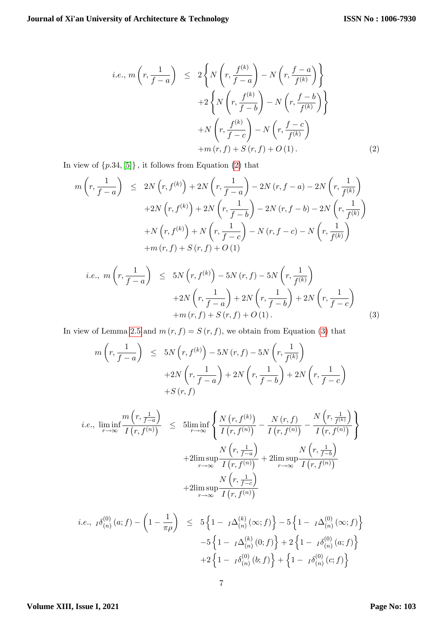<span id="page-6-0"></span>
$$
i.e., m\left(r, \frac{1}{f-a}\right) \le 2\left\{N\left(r, \frac{f^{(k)}}{f-a}\right) - N\left(r, \frac{f-a}{f^{(k)}}\right)\right\}
$$

$$
+2\left\{N\left(r, \frac{f^{(k)}}{f-b}\right) - N\left(r, \frac{f-b}{f^{(k)}}\right)\right\}
$$

$$
+N\left(r, \frac{f^{(k)}}{f-c}\right) - N\left(r, \frac{f-c}{f^{(k)}}\right)
$$

$$
+m\left(r, f\right) + S\left(r, f\right) + O\left(1\right). \tag{2}
$$

In view of  $\{p.34, [5]\}$  $\{p.34, [5]\}$  $\{p.34, [5]\}$ , it follows from Equation [\(2\)](#page-6-0) that

$$
m\left(r, \frac{1}{f-a}\right) \le 2N\left(r, f^{(k)}\right) + 2N\left(r, \frac{1}{f-a}\right) - 2N\left(r, f-a\right) - 2N\left(r, \frac{1}{f^{(k)}}\right)
$$

$$
+ 2N\left(r, f^{(k)}\right) + 2N\left(r, \frac{1}{f-b}\right) - 2N\left(r, f-b\right) - 2N\left(r, \frac{1}{f^{(k)}}\right)
$$

$$
+ N\left(r, f^{(k)}\right) + N\left(r, \frac{1}{f-c}\right) - N\left(r, f-c\right) - N\left(r, \frac{1}{f^{(k)}}\right)
$$

$$
+ m\left(r, f\right) + S\left(r, f\right) + O\left(1\right)
$$

<span id="page-6-1"></span>
$$
i.e.,\ m\left(r, \frac{1}{f-a}\right) \leq 5N\left(r, f^{(k)}\right) - 5N\left(r, f\right) - 5N\left(r, \frac{1}{f^{(k)}}\right) + 2N\left(r, \frac{1}{f-a}\right) + 2N\left(r, \frac{1}{f-b}\right) + 2N\left(r, \frac{1}{f-c}\right) + m\left(r, f\right) + S\left(r, f\right) + O\left(1\right). \tag{3}
$$

In view of Lemma [2.5](#page-2-2) and  $m(r, f) = S(r, f)$ , we obtain from Equation [\(3\)](#page-6-1) that

$$
m\left(r, \frac{1}{f-a}\right) \le 5N\left(r, f^{(k)}\right) - 5N\left(r, f\right) - 5N\left(r, \frac{1}{f^{(k)}}\right) + 2N\left(r, \frac{1}{f-a}\right) + 2N\left(r, \frac{1}{f-b}\right) + 2N\left(r, \frac{1}{f-c}\right) + S\left(r, f\right)
$$

$$
i.e., \liminf_{r \to \infty} \frac{m(r, \frac{1}{f-a})}{I(r, f^{(n)})} \leq \liminf_{r \to \infty} \left\{ \frac{N(r, f^{(k)})}{I(r, f^{(n)})} - \frac{N(r, f)}{I(r, f^{(n)})} - \frac{N(r, \frac{1}{f^{(k)}})}{I(r, f^{(n)})} \right\}
$$

$$
+ 2\limsup_{r \to \infty} \frac{N(r, \frac{1}{f-a})}{I(r, f^{(n)})} + 2\limsup_{r \to \infty} \frac{N(r, \frac{1}{f-b})}{I(r, f^{(n)})}
$$

$$
+ 2\limsup_{r \to \infty} \frac{N(r, \frac{1}{f-c})}{I(r, f^{(n)})}
$$

$$
i.e., \ I \delta_{(n)}^{(0)}(a; f) - \left(1 - \frac{1}{\pi \rho}\right) \leq 5 \left\{1 - I \Delta_{(n)}^{(k)}(\infty; f)\right\} - 5 \left\{1 - I \Delta_{(n)}^{(0)}(\infty; f)\right\} - 5 \left\{1 - I \Delta_{(n)}^{(k)}(0; f)\right\} + 2 \left\{1 - I \delta_{(n)}^{(0)}(a; f)\right\} + 2 \left\{1 - I \delta_{(n)}^{(0)}(b; f)\right\} + \left\{1 - I \delta_{(n)}^{(0)}(c; f)\right\}
$$

#### **Volume XIII, Issue I, 2021**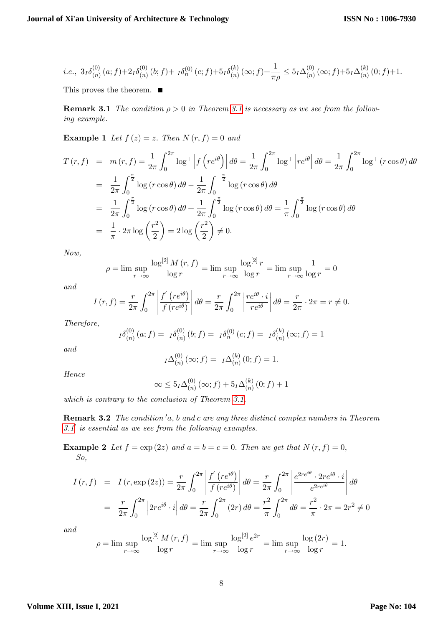$$
i.e.,\ 3_I \delta_{(n)}^{(0)}(a;f) + 2_I \delta_{(n)}^{(0)}(b;f) + \ _I \delta_{n}^{(0)}(c;f) + 5_I \delta_{(n)}^{(k)}(\infty;f) + \frac{1}{\pi \rho} \leq 5_I \Delta_{(n)}^{(0)}(\infty;f) + 5_I \Delta_{(n)}^{(k)}(0;f) + 1.
$$

<span id="page-7-0"></span>This proves the theorem.  $\blacksquare$ 

**Remark [3.1](#page-5-1)** The condition  $\rho > 0$  in Theorem 3.1 is necessary as we see from the following example.

**Example 1** Let  $f(z) = z$ . Then  $N(r, f) = 0$  and

$$
T(r, f) = m(r, f) = \frac{1}{2\pi} \int_0^{2\pi} \log^+ \left| f\left(re^{i\theta}\right) \right| d\theta = \frac{1}{2\pi} \int_0^{2\pi} \log^+ \left|re^{i\theta}\right| d\theta = \frac{1}{2\pi} \int_0^{2\pi} \log^+ (r \cos \theta) d\theta
$$
  
\n
$$
= \frac{1}{2\pi} \int_0^{\frac{\pi}{2}} \log(r \cos \theta) d\theta - \frac{1}{2\pi} \int_0^{-\frac{\pi}{2}} \log(r \cos \theta) d\theta
$$
  
\n
$$
= \frac{1}{2\pi} \int_0^{\frac{\pi}{2}} \log(r \cos \theta) d\theta + \frac{1}{2\pi} \int_0^{\frac{\pi}{2}} \log(r \cos \theta) d\theta = \frac{1}{\pi} \int_0^{\frac{\pi}{2}} \log(r \cos \theta) d\theta
$$
  
\n
$$
= \frac{1}{\pi} \cdot 2\pi \log \left(\frac{r^2}{2}\right) = 2 \log \left(\frac{r^2}{2}\right) \neq 0.
$$

Now,

$$
\rho = \lim \sup_{r \to \infty} \frac{\log^{[2]} M(r, f)}{\log r} = \lim \sup_{r \to \infty} \frac{\log^{[2]} r}{\log r} = \lim \sup_{r \to \infty} \frac{1}{\log r} = 0
$$

and

$$
I(r,f) = \frac{r}{2\pi} \int_0^{2\pi} \left| \frac{f'(re^{i\theta})}{f(re^{i\theta})} \right| d\theta = \frac{r}{2\pi} \int_0^{2\pi} \left| \frac{re^{i\theta} \cdot i}{re^{i\theta}} \right| d\theta = \frac{r}{2\pi} \cdot 2\pi = r \neq 0.
$$

Therefore,

$$
I \delta_{(n)}^{(0)}(a; f) = I \delta_{(n)}^{(0)}(b; f) = I \delta_{(n)}^{(0)}(c; f) = I \delta_{(n)}^{(k)}(\infty; f) = 1
$$

and

$$
I^{\Delta(n)}_{(n)}(\infty; f) = I^{\Delta(n)}_{(n)}(0; f) = 1.
$$

Hence

$$
\infty \le 5_I \Delta_{(n)}^{(0)}(\infty; f) + 5_I \Delta_{(n)}^{(k)}(0; f) + 1
$$

which is contrary to the conclusion of Theorem [3.1.](#page-5-1)

**Remark 3.2** The condition  $a$ , b and c are any three distinct complex numbers in Theorem  $3.1'$  $3.1'$  is essential as we see from the following examples.

**Example 2** Let  $f = \exp(2z)$  and  $a = b = c = 0$ . Then we get that  $N(r, f) = 0$ , So,

$$
I(r, f) = I(r, \exp(2z)) = \frac{r}{2\pi} \int_0^{2\pi} \left| \frac{f'(re^{i\theta})}{f(re^{i\theta})} \right| d\theta = \frac{r}{2\pi} \int_0^{2\pi} \left| \frac{e^{2re^{i\theta}} \cdot 2re^{i\theta} \cdot i}{e^{2re^{i\theta}}} \right| d\theta
$$

$$
= \frac{r}{2\pi} \int_0^{2\pi} \left| 2re^{i\theta} \cdot i \right| d\theta = \frac{r}{2\pi} \int_0^{2\pi} (2r) d\theta = \frac{r^2}{\pi} \int_0^{2\pi} d\theta = \frac{r^2}{\pi} \cdot 2\pi = 2r^2 \neq 0
$$

and

$$
\rho = \lim \sup_{r \to \infty} \frac{\log^{[2]} M(r, f)}{\log r} = \lim \sup_{r \to \infty} \frac{\log^{[2]} e^{2r}}{\log r} = \lim \sup_{r \to \infty} \frac{\log(2r)}{\log r} = 1.
$$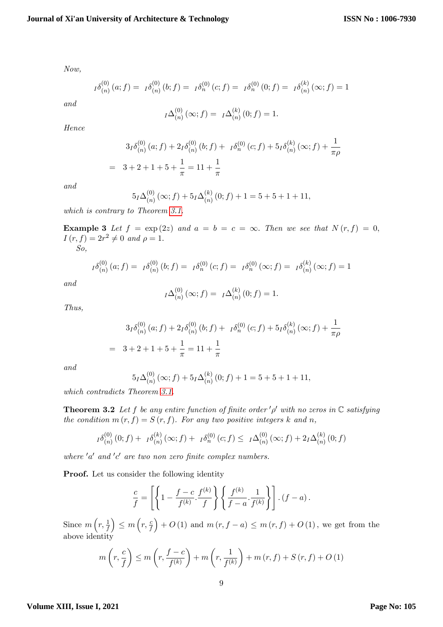Now,

$$
I^{\delta(0)}_{(n)}(a; f) = I^{\delta(0)}_{(n)}(b; f) = I^{\delta(0)}_{(n)}(c; f) = I^{\delta(0)}_{(n)}(0; f) = I^{\delta(k)}_{(n)}(\infty; f) = 1
$$

and

$$
I\Delta_{(n)}^{(0)}(\infty;f) = I\Delta_{(n)}^{(k)}(0;f) = 1.
$$

Hence

$$
3_I \delta_{(n)}^{(0)}(a; f) + 2_I \delta_{(n)}^{(0)}(b; f) + I \delta_{(n)}^{(0)}(c; f) + 5_I \delta_{(n)}^{(k)}(\infty; f) + \frac{1}{\pi \rho}
$$
  
= 3 + 2 + 1 + 5 +  $\frac{1}{\pi}$  = 11 +  $\frac{1}{\pi}$ 

and

$$
5_I\Delta_{(n)}^{(0)}(\infty; f) + 5_I\Delta_{(n)}^{(k)}(0; f) + 1 = 5 + 5 + 1 + 11,
$$

which is contrary to Theorem [3.1.](#page-7-0)

**Example 3** Let  $f = \exp(2z)$  and  $a = b = c = \infty$ . Then we see that  $N(r, f) = 0$ ,  $I(r, f) = 2r^2 \neq 0$  and  $\rho = 1$ .

So,

$$
I \delta_{(n)}^{(0)}(a;f) = I \delta_{(n)}^{(0)}(b;f) = I \delta_{(n)}^{(0)}(c;f) = I \delta_{(n)}^{(0)}(\infty;f) = I \delta_{(n)}^{(k)}(\infty;f) = 1
$$

and

$$
I^{\Delta(n)}_{(n)}(\infty;f) = I^{\Delta(n)}_{(n)}(0;f) = 1.
$$

Thus,

$$
3I\delta_{(n)}^{(0)}(a; f) + 2I\delta_{(n)}^{(0)}(b; f) + I\delta_{(n)}^{(0)}(c; f) + 5I\delta_{(n)}^{(k)}(\infty; f) + \frac{1}{\pi\rho}
$$
  
= 3 + 2 + 1 + 5 +  $\frac{1}{\pi}$  = 11 +  $\frac{1}{\pi}$ 

and

$$
5I\Delta_{(n)}^{(0)}(\infty; f) + 5I\Delta_{(n)}^{(k)}(0; f) + 1 = 5 + 5 + 1 + 11,
$$

which contradicts Theorem [3.1.](#page-7-0)

<span id="page-8-0"></span>**Theorem 3.2** Let f be any entire function of finite order  $'\rho'$  with no zeros in  $\mathbb C$  satisfying the condition  $m(r, f) = S(r, f)$ . For any two positive integers k and n,

$$
I \delta_{(n)}^{(0)}(0;f) + I \delta_{(n)}^{(k)}(\infty;f) + I \delta_{(n)}^{(0)}(c;f) \leq I \Delta_{(n)}^{(0)}(\infty;f) + 2I \Delta_{(n)}^{(k)}(0;f)
$$

where  $'a'$  and  $c'$  are two non zero finite complex numbers.

Proof. Let us consider the following identity

$$
\frac{c}{f} = \left[ \left\{ 1 - \frac{f-c}{f^{(k)}} \cdot \frac{f^{(k)}}{f} \right\} \left\{ \frac{f^{(k)}}{f-a} \cdot \frac{1}{f^{(k)}} \right\} \right] \cdot (f-a).
$$

Since  $m\left(r, \frac{1}{f}\right)$  $\Big) \leq m \left( r, \frac{c}{f} \right)$  $+ O (1)$  and  $m (r, f - a) \leq m (r, f) + O (1)$ , we get from the above identity

$$
m\left(r, \frac{c}{f}\right) \le m\left(r, \frac{f-c}{f^{(k)}}\right) + m\left(r, \frac{1}{f^{(k)}}\right) + m\left(r, f\right) + S\left(r, f\right) + O\left(1\right)
$$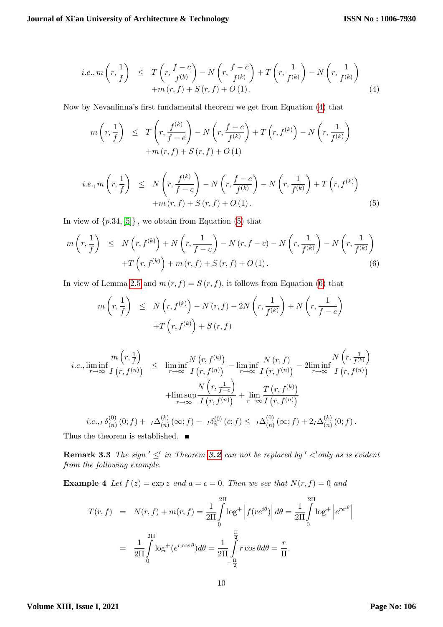<span id="page-9-0"></span>
$$
i.e., m\left(r, \frac{1}{f}\right) \leq T\left(r, \frac{f-c}{f^{(k)}}\right) - N\left(r, \frac{f-c}{f^{(k)}}\right) + T\left(r, \frac{1}{f^{(k)}}\right) - N\left(r, \frac{1}{f^{(k)}}\right) + m\left(r, f\right) + S\left(r, f\right) + O\left(1\right). \tag{4}
$$

Now by Nevanlinna's first fundamental theorem we get from Equation [\(4\)](#page-9-0) that

$$
m\left(r, \frac{1}{f}\right) \leq T\left(r, \frac{f^{(k)}}{f-c}\right) - N\left(r, \frac{f-c}{f^{(k)}}\right) + T\left(r, f^{(k)}\right) - N\left(r, \frac{1}{f^{(k)}}\right) + m(r, f) + S(r, f) + O(1)
$$

<span id="page-9-1"></span>
$$
i.e., m\left(r, \frac{1}{f}\right) \le N\left(r, \frac{f^{(k)}}{f-c}\right) - N\left(r, \frac{f-c}{f^{(k)}}\right) - N\left(r, \frac{1}{f^{(k)}}\right) + T\left(r, f^{(k)}\right) + m\left(r, f\right) + S\left(r, f\right) + O\left(1\right). \tag{5}
$$

In view of  $\{p.34, [5]\}\,$  $\{p.34, [5]\}\,$  $\{p.34, [5]\}\,$ , we obtain from Equation [\(5\)](#page-9-1) that

<span id="page-9-2"></span>
$$
m\left(r, \frac{1}{f}\right) \leq N\left(r, f^{(k)}\right) + N\left(r, \frac{1}{f-c}\right) - N\left(r, f-c\right) - N\left(r, \frac{1}{f^{(k)}}\right) - N\left(r, \frac{1}{f^{(k)}}\right) + T\left(r, f^{(k)}\right) + m\left(r, f\right) + S\left(r, f\right) + O\left(1\right). \tag{6}
$$

In view of Lemma [2.5](#page-2-2) and  $m(r, f) = S(r, f)$ , it follows from Equation [\(6\)](#page-9-2) that

$$
m\left(r, \frac{1}{f}\right) \leq N\left(r, f^{(k)}\right) - N(r, f) - 2N\left(r, \frac{1}{f^{(k)}}\right) + N\left(r, \frac{1}{f-c}\right) + T\left(r, f^{(k)}\right) + S(r, f)
$$

$$
i.e., \liminf_{r \to \infty} \frac{m(r, \frac{1}{f})}{I(r, f^{(n)})} \leq \liminf_{r \to \infty} \frac{N(r, f^{(k)})}{I(r, f^{(n)})} - \liminf_{r \to \infty} \frac{N(r, f)}{I(r, f^{(n)})} - 2\liminf_{r \to \infty} \frac{N(r, \frac{1}{f^{(k)}})}{I(r, f^{(n)})} + \limsup_{r \to \infty} \frac{N(r, \frac{1}{f - c})}{I(r, f^{(n)})} + \lim_{r \to \infty} \frac{T(r, f^{(k)})}{I(r, f^{(n)})}
$$
  

$$
i.e.,_I \delta_{(n)}^{(0)}(0; f) + I \Delta_{(n)}^{(k)}(\infty; f) + I \delta_{n}^{(0)}(c; f) \leq I \Delta_{(n)}^{(0)}(\infty; f) + 2I \Delta_{(n)}^{(k)}(0; f).
$$

$$
i.e.,_I \delta_{(n)}^{(0)}(0;f) + I\Delta_{(n)}^{(k)}(\infty;f) + I\delta_{n}^{(0)}(c;f) \leq I\Delta_{(n)}^{(0)}(\infty;f) + 2I\Delta_{(n)}^{(0)}
$$

Thus the theorem is established.  $\blacksquare$ 

**Remark 3.3** The sign  $'\leq'$  in Theorem [3.2](#page-8-0) can not be replaced by  $'$   $\lt'$  only as is evident from the following example.

**Example 4** Let  $f(z) = \exp z$  and  $a = c = 0$ . Then we see that  $N(r, f) = 0$  and

$$
T(r, f) = N(r, f) + m(r, f) = \frac{1}{2\Pi} \int_{0}^{2\Pi} \log^{+} \left| f(re^{i\theta}) \right| d\theta = \frac{1}{2\Pi} \int_{0}^{2\Pi} \log^{+} \left| e^{re^{i\theta}} \right|
$$

$$
= \frac{1}{2\Pi} \int_{0}^{2\Pi} \log^{+} (e^{r\cos\theta}) d\theta = \frac{1}{2\Pi} \int_{-\frac{\Pi}{2}}^{\frac{\Pi}{2}} r\cos\theta d\theta = \frac{r}{\Pi}.
$$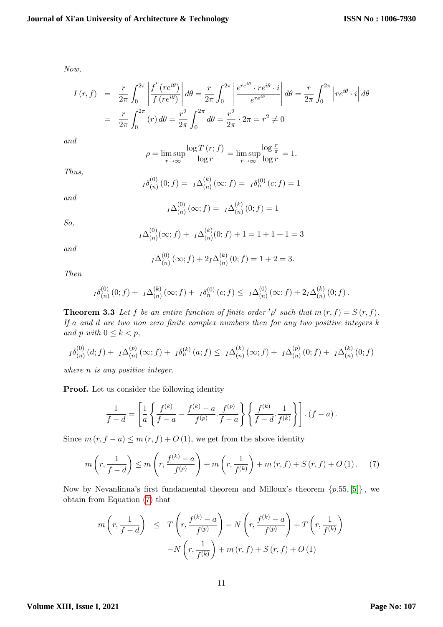Now,

$$
I(r, f) = \frac{r}{2\pi} \int_0^{2\pi} \left| \frac{f'(re^{i\theta})}{f(re^{i\theta})} \right| d\theta = \frac{r}{2\pi} \int_0^{2\pi} \left| \frac{e^{re^{i\theta}} \cdot re^{i\theta} \cdot i}{e^{re^{i\theta}}} \right| d\theta = \frac{r}{2\pi} \int_0^{2\pi} \left| re^{i\theta} \cdot i \right| d\theta
$$

$$
= \frac{r}{2\pi} \int_0^{2\pi} (r) d\theta = \frac{r^2}{2\pi} \int_0^{2\pi} d\theta = \frac{r^2}{2\pi} \cdot 2\pi = r^2 \neq 0
$$

and

$$
\rho = \limsup_{r \to \infty} \frac{\log T(r; f)}{\log r} = \limsup_{r \to \infty} \frac{\log \frac{r}{\pi}}{\log r} = 1.
$$

Thus,

$$
I^{\delta(n)}(0; f) = I^{\Delta(n)}(0; f) = I^{\delta(n)}(c; f) = 1
$$

and

$$
I\Delta_{(n)}^{(0)}(\infty;f) = I\Delta_{(n)}^{(k)}(0;f) = 1
$$

So,

$$
I\Delta_{(n)}^{(0)}(\infty;f) + I\Delta_{(n)}^{(k)}(0;f) + 1 = 1 + 1 + 1 = 3
$$

and

$$
I\Delta_{(n)}^{(0)}(\infty;f) + 2_I\Delta_{(n)}^{(k)}(0;f) = 1 + 2 = 3.
$$

Then

$$
I^{\delta^{(0)}_{(n)}}(0;f) + I^{\Delta^{(k)}_{(n)}}(\infty;f) + I^{\delta^{(0)}_{n}}(c;f) \leq I^{\Delta^{(0)}_{(n)}}(\infty;f) + 2_I^{\Delta^{(k)}_{(n)}}(0;f).
$$

<span id="page-10-1"></span>**Theorem 3.3** Let f be an entire function of finite order  $\phi'$  such that  $m(r, f) = S(r, f)$ . If a and  $d$  are two non zero finite complex numbers then for any two positive integers  $k$ and p with  $0 \leq k < p$ ,

$$
I^{\delta(n)}(d;f) + I^{\Delta(n)}(a;f) + I^{\delta(n)}(x;f) + I^{\delta(n)}(a;f) \leq I^{\Delta(n)}(x;f) + I^{\Delta(n)}(0;f) + I^{\Delta(n)}(0;f)
$$

where *n* is any positive integer.

Proof. Let us consider the following identity

$$
\frac{1}{f-d} = \left[ \frac{1}{a} \left\{ \frac{f^{(k)}}{f-a} - \frac{f^{(k)}-a}{f^{(p)}} \cdot \frac{f^{(p)}}{f-a} \right\} \left\{ \frac{f^{(k)}}{f-d} \cdot \frac{1}{f^{(k)}} \right\} \right] \cdot (f-a).
$$

Since  $m(r, f - a) \leq m(r, f) + O(1)$ , we get from the above identity

<span id="page-10-0"></span>
$$
m\left(r, \frac{1}{f-d}\right) \le m\left(r, \frac{f^{(k)}-a}{f^{(p)}}\right) + m\left(r, \frac{1}{f^{(k)}}\right) + m\left(r, f\right) + S\left(r, f\right) + O\left(1\right). \tag{7}
$$

Now by Nevanlinna's first fundamental theorem and Milloux's theorem  $\{p.55, [5]\}$  $\{p.55, [5]\}$  $\{p.55, [5]\}$ , we obtain from Equation [\(7\)](#page-10-0) that

$$
m\left(r, \frac{1}{f-d}\right) \leq T\left(r, \frac{f^{(k)}-a}{f^{(p)}}\right) - N\left(r, \frac{f^{(k)}-a}{f^{(p)}}\right) + T\left(r, \frac{1}{f^{(k)}}\right)
$$

$$
-N\left(r, \frac{1}{f^{(k)}}\right) + m\left(r, f\right) + S\left(r, f\right) + O\left(1\right)
$$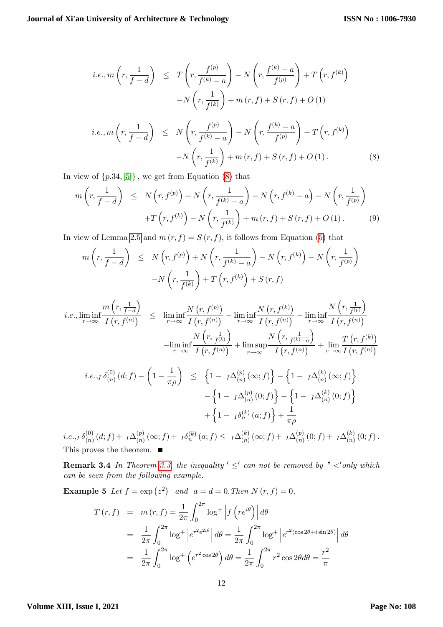$$
i.e., m\left(r, \frac{1}{f-d}\right) \leq T\left(r, \frac{f^{(p)}}{f^{(k)}-a}\right) - N\left(r, \frac{f^{(k)}-a}{f^{(p)}}\right) + T\left(r, f^{(k)}\right) -N\left(r, \frac{1}{f^{(k)}}\right) + m(r, f) + S(r, f) + O(1) \n i.e., m\left(r, \frac{1}{f-d}\right) \leq N\left(r, \frac{f^{(p)}}{f^{(k)}-a}\right) - N\left(r, \frac{f^{(k)}-a}{f^{(p)}}\right) + T\left(r, f^{(k)}\right) -N\left(r, \frac{1}{f^{(k)}}\right) + m(r, f) + S(r, f) + O(1).
$$
\n(8)

<span id="page-11-0"></span>In view of  $\{p.34, [5]\}\,$  $\{p.34, [5]\}\,$  $\{p.34, [5]\}\,$ , we get from Equation [\(8\)](#page-11-0) that

$$
m\left(r, \frac{1}{f-d}\right) \le N\left(r, f^{(p)}\right) + N\left(r, \frac{1}{f^{(k)}-a}\right) - N\left(r, f^{(k)}-a\right) - N\left(r, \frac{1}{f^{(p)}}\right)
$$

$$
+T\left(r, f^{(k)}\right) - N\left(r, \frac{1}{f^{(k)}}\right) + m\left(r, f\right) + S\left(r, f\right) + O\left(1\right). \tag{9}
$$

In view of Lemma [2.5](#page-2-2) and  $m(r, f) = S(r, f)$ , it follows from Equation [\(5\)](#page-9-1) that

$$
m\left(r, \frac{1}{f-d}\right) \le N\left(r, f^{(p)}\right) + N\left(r, \frac{1}{f^{(k)}-a}\right) - N\left(r, f^{(k)}\right) - N\left(r, \frac{1}{f^{(p)}}\right)
$$

$$
-N\left(r, \frac{1}{f^{(k)}}\right) + T\left(r, f^{(k)}\right) + S\left(r, f\right)
$$

$$
i.e., \liminf_{r \to \infty} \frac{m\left(r, \frac{1}{f-d}\right)}{I\left(r, f^{(n)}\right)} \leq \liminf_{r \to \infty} \frac{N\left(r, f^{(p)}\right)}{I\left(r, f^{(n)}\right)} - \liminf_{r \to \infty} \frac{N\left(r, f^{(k)}\right)}{I\left(r, f^{(n)}\right)} - \liminf_{r \to \infty} \frac{N\left(r, \frac{1}{f^{(p)}}\right)}{I\left(r, f^{(n)}\right)}
$$

$$
- \liminf_{r \to \infty} \frac{N\left(r, \frac{1}{f^{(k)}}\right)}{I\left(r, f^{(n)}\right)} + \limsup_{r \to \infty} \frac{N\left(r, \frac{1}{f^{(k)}-a}\right)}{I\left(r, f^{(n)}\right)} + \lim_{r \to \infty} \frac{T\left(r, f^{(k)}\right)}{I\left(r, f^{(n)}\right)}
$$

$$
i.e.,_I \delta_{(n)}^{(0)}(d; f) - \left(1 - \frac{1}{\pi \rho}\right) \le \left\{1 - I\Delta_{(n)}^{(p)}(\infty; f)\right\} - \left\{1 - I\Delta_{(n)}^{(k)}(\infty; f)\right\} - \left\{1 - I\Delta_{(n)}^{(p)}(0; f)\right\} - \left\{1 - I\Delta_{(n)}^{(k)}(0; f)\right\} + \left\{1 - I\delta_{(n)}^{(k)}(a; f)\right\} + \frac{1}{\pi \rho}
$$

 $i.e.,$ ] $\delta^{(0)}_{(n)}$  $\stackrel{(0)}{(n)}(d;f) + I\Delta^{(p)}_{(n)}$  $\binom{(p)}{(n)}(\infty;f) + I \delta^{(k)}_n (a;f) \leq I \Delta^{(k)}_{(n)}$  $\binom{(k)}{(n)}(\infty;f) + \ _I\Delta^{(p)}_{(n)}$  $\binom{(p)}{(n)}(0; f) + I\Delta^{(k)}(n)$  $\binom{\kappa}{n}(0; f).$ This proves the theorem.  $\blacksquare$ 

**Remark 3.4** In Theorem [3.3,](#page-10-1) the inequality  $\leq'$  can not be removed by  $\leq'$  only which can be seen from the following example:

**Example 5** Let  $f = \exp(z^2)$  and  $a = d = 0$ . Then  $N(r, f) = 0$ ,

$$
T(r, f) = m(r, f) = \frac{1}{2\pi} \int_0^{2\pi} \log^+ \left| f\left(re^{i\theta}\right) \right| d\theta
$$
  

$$
= \frac{1}{2\pi} \int_0^{2\pi} \log^+ \left| e^{r^2 e^{2i\theta}} \right| d\theta = \frac{1}{2\pi} \int_0^{2\pi} \log^+ \left| e^{r^2 (\cos 2\theta + i \sin 2\theta)} \right| d\theta
$$
  

$$
= \frac{1}{2\pi} \int_0^{2\pi} \log^+ \left( e^{r^2 \cos 2\theta} \right) d\theta = \frac{1}{2\pi} \int_0^{2\pi} r^2 \cos 2\theta d\theta = \frac{r^2}{\pi}
$$

#### **Volume XIII, Issue I, 2021**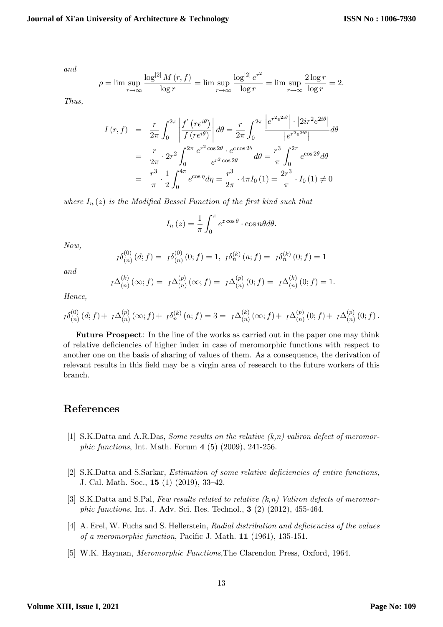and

$$
\rho = \lim \sup_{r \to \infty} \frac{\log^{[2]} M(r, f)}{\log r} = \lim \sup_{r \to \infty} \frac{\log^{[2]} e^{r^2}}{\log r} = \lim \sup_{r \to \infty} \frac{2 \log r}{\log r} = 2.
$$

Thus,

$$
I(r, f) = \frac{r}{2\pi} \int_0^{2\pi} \left| \frac{f'(re^{i\theta})}{f(re^{i\theta})} \right| d\theta = \frac{r}{2\pi} \int_0^{2\pi} \frac{\left| e^{r^2 e^{2i\theta}} \right| \cdot \left| 2ir^2 e^{2i\theta} \right|}{\left| e^{r^2 e^{2i\theta}} \right|} d\theta
$$
  

$$
= \frac{r}{2\pi} \cdot 2r^2 \int_0^{2\pi} \frac{e^{r^2 \cos 2\theta} \cdot e^{c \cos 2\theta}}{e^{r^2 \cos 2\theta}} d\theta = \frac{r^3}{\pi} \int_0^{2\pi} e^{\cos 2\theta} d\theta
$$
  

$$
= \frac{r^3}{\pi} \cdot \frac{1}{2} \int_0^{4\pi} e^{\cos \eta} d\eta = \frac{r^3}{2\pi} \cdot 4\pi I_0 (1) = \frac{2r^3}{\pi} \cdot I_0 (1) \neq 0
$$

where  $I_n(z)$  is the Modified Bessel Function of the first kind such that

$$
I_n(z) = \frac{1}{\pi} \int_0^{\pi} e^{z \cos \theta} \cdot \cos n\theta d\theta.
$$

Now,

$$
I^{\delta(0)}_{(n)}(d;f) = I^{\delta(0)}_{(n)}(0;f) = 1, I^{\delta(0)}_{(n)}(a;f) = I^{\delta(0)}_{(n)}(0;f) = 1
$$

and

$$
I^{\Delta(n)}(x; f) = I^{\Delta(n)}(x; f) = I^{\Delta(n)}(x; f) = I^{\Delta(n)}(0; f) = I^{\Delta(n)}(0; f) = 1.
$$

Hence,

$$
I^{\delta(p)}(a; f) + I^{\Delta(p)}(a; f) + I^{\delta(p)}(a; f) + I^{\delta(p)}(a; f) = 3 = I^{\Delta(p)}(a; f) + I^{\Delta(p)}(0; f) + I^{\Delta(p)}(0; f).
$$

Future Prospect: In the line of the works as carried out in the paper one may think of relative deÖciencies of higher index in case of meromorphic functions with respect to another one on the basis of sharing of values of them. As a consequence, the derivation of relevant results in this field may be a virgin area of research to the future workers of this branch.

## <span id="page-12-1"></span>References

- [1] S.K.Datta and A.R.Das, Some results on the relative  $(k, n)$  valiron defect of meromorphic functions, Int. Math. Forum 4 (5) (2009), 241-256.
- [2] S.K.Datta and S.Sarkar, *Estimation of some relative deficiencies of entire functions*, J. Cal. Math. Soc.,  $15(1)(2019)$ ,  $33-42$ .
- [3] S.K.Datta and S.Pal, Few results related to relative  $(k,n)$  Valiron defects of meromorphic functions, Int. J. Adv. Sci. Res. Technol., 3 (2) (2012), 455-464.
- <span id="page-12-0"></span>[4] A. Erel, W. Fuchs and S. Hellerstein, Radial distribution and deficiencies of the values of a meromorphic function, Pacific J. Math.  $11$  (1961), 135-151.
- <span id="page-12-2"></span>[5] W.K. Hayman, Meromorphic Functions,The Clarendon Press, Oxford, 1964: